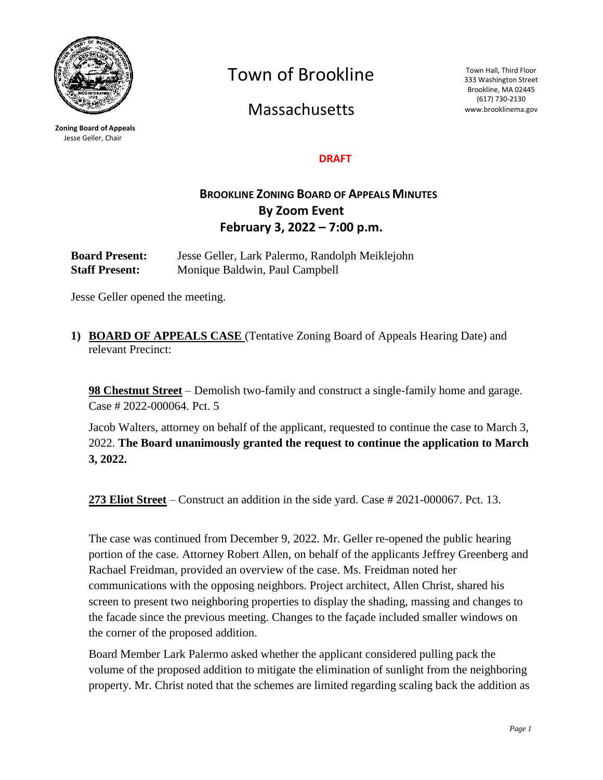

**Zoning Board of Appeals** Jesse Geller, Chair

Town of Brookline

**Massachusetts** 

Town Hall, Third Floor 333 Washington Street Brookline, MA 02445 (617) 730-2130 www.brooklinema.gov

#### **DRAFT**

# **BROOKLINE ZONING BOARD OF APPEALS MINUTES By Zoom Event February 3, 2022 – 7:00 p.m.**

**Board Present:** Jesse Geller, Lark Palermo, Randolph Meiklejohn **Staff Present:** Monique Baldwin, Paul Campbell

Jesse Geller opened the meeting.

**1) BOARD OF APPEALS CASE** (Tentative Zoning Board of Appeals Hearing Date) and relevant Precinct:

**98 Chestnut Street** – Demolish two-family and construct a single-family home and garage. Case # 2022-000064. Pct. 5

Jacob Walters, attorney on behalf of the applicant, requested to continue the case to March 3, 2022. **The Board unanimously granted the request to continue the application to March 3, 2022.**

**273 Eliot Street** – Construct an addition in the side yard. Case # 2021-000067. Pct. 13.

The case was continued from December 9, 2022. Mr. Geller re-opened the public hearing portion of the case. Attorney Robert Allen, on behalf of the applicants Jeffrey Greenberg and Rachael Freidman, provided an overview of the case. Ms. Freidman noted her communications with the opposing neighbors. Project architect, Allen Christ, shared his screen to present two neighboring properties to display the shading, massing and changes to the facade since the previous meeting. Changes to the façade included smaller windows on the corner of the proposed addition.

Board Member Lark Palermo asked whether the applicant considered pulling pack the volume of the proposed addition to mitigate the elimination of sunlight from the neighboring property. Mr. Christ noted that the schemes are limited regarding scaling back the addition as